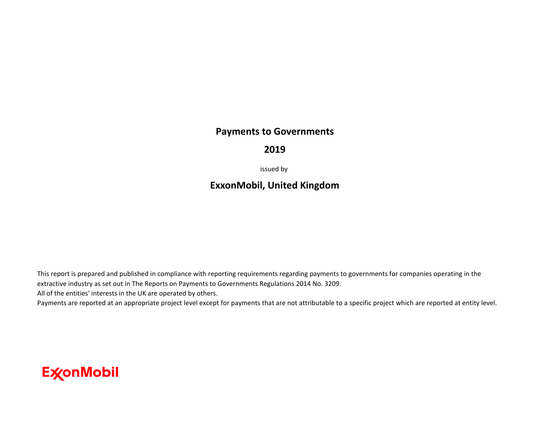#### **Payments to Governments**

#### **2019**

issued by

### **ExxonMobil, United Kingdom**

This report is prepared and published in compliance with reporting requirements regarding payments to governments for companies operating in the extractive industry as set out in The Reports on Payments to Governments Regulations 2014 No. 3209. All of the entities' interests in the UK are operated by others.

Payments are reported at an appropriate project level except for payments that are not attributable to a specific project which are reported at entity level.

## **ExconMobil**